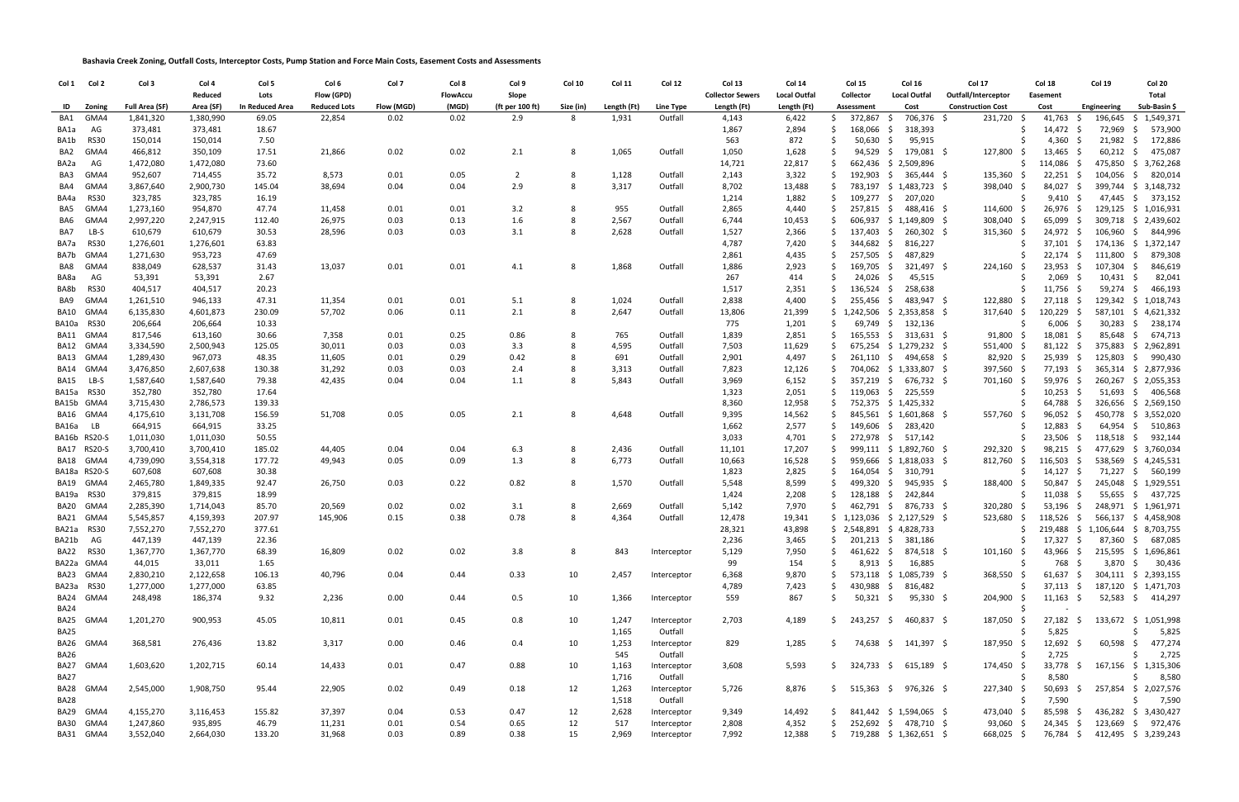**Bashavia Creek Zoning, Outfall Costs, Interceptor Costs, Pump Station and Force Main Costs, Easement Costs and Assessments**

| Col 1       | Col 2        | Col 3                 | Col 4     | Col 5                  | Col 6               | Col 7      | Col 8    | Col 9           | <b>Col 10</b> | Col 11       | Col 12                 | Col 13                  | Col 14              | Col 15                                | Col 16                    | Col 17                   | Col 18                                 | <b>Col 19</b> | Col 20                           |
|-------------|--------------|-----------------------|-----------|------------------------|---------------------|------------|----------|-----------------|---------------|--------------|------------------------|-------------------------|---------------------|---------------------------------------|---------------------------|--------------------------|----------------------------------------|---------------|----------------------------------|
|             |              |                       | Reduced   | Lots                   | Flow (GPD)          |            | FlowAccu | Slope           |               |              |                        | <b>Collector Sewers</b> | <b>Local Outfal</b> | Collector                             | Local Outfal              | Outfall/Interceptor      | Easement                               |               | Total                            |
| ID          | Zoning       | <b>Full Area (SF)</b> | Area (SF) | <b>In Reduced Area</b> | <b>Reduced Lots</b> | Flow (MGD) | (MGD)    | (ft per 100 ft) | Size (in)     | Length (Ft)  | Line Type              | Length (Ft)             | Length (Ft)         | Assessment                            | Cost                      | <b>Construction Cost</b> | Cost                                   | Engineering   | Sub-Basin \$                     |
| BA1         | GMA4         | 1,841,320             | 1,380,990 | 69.05                  | 22,854              | 0.02       | 0.02     | 2.9             | 8             | 1,931        | Outfall                | 4,143                   | 6,422               | 372,867 \$                            | 706,376 \$                | 231,720 \$               | 41,763                                 | 196,645       | \$1,549,371                      |
| BA1a        | AG           | 373,481               | 373,481   | 18.67                  |                     |            |          |                 |               |              |                        | 1,867                   | 2,894               | 168,066 \$                            | 318,393                   |                          | 14,472 \$                              | 72,969 \$     | 573,900                          |
| BA1b        | <b>RS30</b>  | 150,014               | 150,014   | 7.50                   |                     |            |          |                 |               |              |                        | 563                     | 872                 | 50,630 \$                             | 95,915                    |                          | 4,360                                  | 21,982        | \$<br>172,886                    |
| BA2         | GMA4         | 466,812               | 350,109   | 17.51                  | 21,866              | 0.02       | 0.02     | 2.1             | 8             | 1,065        | Outfall                | 1,050                   | 1,628               | 94,529 \$                             | 179,081 \$                | 127,800                  | 13,465<br>-S                           | 60,212        | 475,087<br>S.                    |
| BA2a        | AG           | 1,472,080             | 1,472,080 | 73.60                  |                     |            |          |                 |               |              |                        | 14,721                  | 22,817              |                                       | 662,436 \$ 2,509,896      |                          | 114,086<br>S<br>- S                    | 475,850       | \$<br>3,762,268                  |
| BA3         | GMA4         | 952,607               | 714,455   | 35.72                  | 8,573               | 0.01       | 0.05     | 2               | 8             | 1,128        | Outfall                | 2,143                   | 3,322               |                                       | 192,903 \$ 365,444 \$     | $135,360$ \$             | 22,251<br>- S                          | 104,056       | 820,014<br>S.                    |
| BA4         | GMA4         | 3,867,640             | 2,900,730 | 145.04                 | 38,694              | 0.04       | 0.04     | 2.9             | 8             | 3,317        | Outfall                | 8,702                   | 13,488              |                                       | 783,197 \$ 1,483,723 \$   | 398,040                  | 84,027<br>- S<br>- S                   |               | 399,744 \$ 3,148,732             |
| BA4a        | <b>RS30</b>  | 323,785               | 323,785   | 16.19                  |                     |            |          |                 |               |              |                        | 1,214                   | 1,882               | $109,277$ \$                          | 207,020                   |                          | 9,410<br>-S                            | 47,445 \$     | 373,152                          |
| BA5         | GMA4         | 1,273,160             | 954,870   | 47.74                  | 11,458              | 0.01       | 0.01     | 3.2             | 8             | 955          | Outfall                | 2,865                   | 4,440               | 257,815 \$                            | 488,416 \$                | $114,600$ \$             | 26,976                                 |               | 129,125 \$ 1,016,931             |
| BA6         | GMA4         | 2,997,220             | 2,247,915 | 112.40                 | 26,975              | 0.03       | 0.13     | 1.6             | 8             | 2,567        | Outfall                | 6,744                   | 10,453              |                                       | 606,937 \$ 1,149,809 \$   | 308,040 \$               | 65,099                                 |               | 309,718 \$ 2,439,602             |
| BA7         | LB-S         | 610,679               | 610,679   | 30.53                  | 28,596              | 0.03       | 0.03     | 3.1             | 8             | 2,628        | Outfall                | 1,527                   | 2,366               | 137,403 \$                            | 260,302 \$                | $315,360$ \$             | $24,972$ \$                            | 106,960       | 844,996<br>S.                    |
| BA7a        | <b>RS30</b>  | 1,276,601             | 1,276,601 | 63.83                  |                     |            |          |                 |               |              |                        | 4,787                   | 7,420               | 344,682 \$                            | 816,227                   |                          | 37,101<br>- S                          | 174,136 \$    | 1,372,147                        |
| BA7b        | GMA4         | 1,271,630             | 953,723   | 47.69                  |                     |            |          |                 |               |              |                        | 2,861                   | 4,435               | 257,505 \$                            | 487,829                   |                          | 22,174<br>- \$                         | 111,800       | 879,308<br>S.                    |
| BA8         | GMA4         | 838,049               | 628,537   | 31.43                  | 13,037              | 0.01       | 0.01     | 4.1             | 8             | 1,868        | Outfall                | 1,886                   | 2,923               | 169,705 \$                            | 321,497 \$                | $224,160$ \$             | 23,953<br>- S                          | 107,304       | 846,619<br>S.                    |
| BA8a        | AG           | 53,391                | 53,391    | 2.67                   |                     |            |          |                 |               |              |                        | 267                     | 414                 | 24,026 \$                             | 45,515                    |                          | 2,069<br>.S<br>- S                     | 10,431        | 82,041<br>S.                     |
| BA8b        | <b>RS30</b>  | 404,517               | 404,517   | 20.23                  |                     |            |          |                 |               |              |                        | 1,517                   | 2,351               | 136,524                               | 258,638<br>- \$           |                          | 11,756<br>- S                          | 59,274        | 466,193<br>\$                    |
|             | GMA4         |                       |           |                        |                     |            |          |                 | 8             |              |                        |                         | 4,400               | 255,456 \$                            | 483,947 \$                |                          | 27,118                                 | 129,342 \$    |                                  |
| BA9         |              | 1,261,510             | 946,133   | 47.31                  | 11,354              | 0.01       | 0.01     | 5.1             | 8             | 1,024        | Outfall                | 2,838                   |                     |                                       |                           | 122,880                  |                                        |               | 1,018,743                        |
|             | BA10 GMA4    | 6,135,830             | 4,601,873 | 230.09                 | 57,702              | 0.06       | 0.11     | 2.1             |               | 2,647        | Outfall                | 13,806                  | 21,399              |                                       | 1,242,506 \$ 2,353,858 \$ | 317,640                  | 120,229<br>- \$                        | $587,101$ \$  | 4,621,332                        |
|             | BA10a RS30   | 206,664               | 206,664   | 10.33                  |                     |            |          |                 |               |              |                        | 775                     | 1,201               |                                       | 69,749 \$ 132,136         |                          | 6,006<br>-S                            | $30,283$ \$   | 238,174                          |
|             | BA11 GMA4    | 817,546               | 613,160   | 30.66                  | 7,358               | 0.01       | 0.25     | 0.86            | 8             | 765          | Outfall                | 1,839                   | 2,851               |                                       | 165,553 \$ 313,631 \$     | 91,800                   | 18,081                                 | 85,648        | 674,713<br>S.                    |
|             | BA12 GMA4    | 3,334,590             | 2,500,943 | 125.05                 | 30,011              | 0.03       | 0.03     | 3.3             | 8             | 4,595        | Outfall                | 7,503                   | 11,629              |                                       | 675,254 \$ 1,279,232 \$   | 551,400 \$               | 81,122                                 | 375,883       | \$<br>2,962,891                  |
|             | BA13 GMA4    | 1,289,430             | 967,073   | 48.35                  | 11,605              | 0.01       | 0.29     | 0.42            | 8             | 691          | Outfall                | 2,901                   | 4,497               |                                       | 261,110 \$ 494,658 \$     | 82,920 \$                | 25,939<br>-S                           | 125,803       | 990,430<br>S.                    |
|             | BA14 GMA4    | 3,476,850             | 2,607,638 | 130.38                 | 31,292              | 0.03       | 0.03     | 2.4             | 8             | 3,313        | Outfall                | 7,823                   | 12,126              |                                       | 704,062 \$ 1,333,807 \$   | 397,560 \$               | 77,193<br>- S                          |               | 365,314 \$ 2,877,936             |
| BA15        | LB-S         | 1,587,640             | 1,587,640 | 79.38                  | 42,435              | 0.04       | 0.04     | 1.1             | 8             | 5,843        | Outfall                | 3,969                   | 6,152               |                                       | 357,219 \$ 676,732 \$     | 701,160 \$               | 59,976                                 | 260,267       | \$2,055,353                      |
| BA15a RS30  |              | 352,780               | 352,780   | 17.64                  |                     |            |          |                 |               |              |                        | 1,323                   | 2,051               |                                       | 119,063 \$ 225,559        |                          | 10,253                                 | 51,693        | $\frac{1}{2}$<br>406,568         |
|             | BA15b GMA4   | 3,715,430             | 2,786,573 | 139.33                 |                     |            |          |                 |               |              |                        | 8,360                   | 12,958              |                                       | 752,375 \$ 1,425,332      |                          | 64,788                                 |               | 326,656 \$ 2,569,150             |
|             | BA16 GMA4    | 4,175,610             | 3,131,708 | 156.59                 | 51,708              | 0.05       | 0.05     | 2.1             | 8             | 4,648        | Outfall                | 9,395                   | 14,562              |                                       | 845,561 \$ 1,601,868 \$   | 557,760 \$               | $96,052$ \$                            |               | 450,778 \$ 3,552,020             |
| BA16a LB    |              | 664,915               | 664,915   | 33.25                  |                     |            |          |                 |               |              |                        | 1,662                   | 2,577               |                                       | 149,606 \$ 283,420        |                          | 12,883<br>- S                          | 64,954 \$     | 510,863                          |
|             | BA16b RS20-S | 1,011,030             | 1,011,030 | 50.55                  |                     |            |          |                 |               |              |                        | 3,033                   | 4,701               |                                       | 272,978 \$ 517,142        |                          | $23,506$ \$                            | $118,518$ \$  | 932,144                          |
|             | BA17 RS20-S  | 3,700,410             | 3,700,410 | 185.02                 | 44,405              | 0.04       | 0.04     | 6.3             | 8             | 2,436        | Outfall                | 11,101                  | 17,207              |                                       | 999,111 \$ 1,892,760 \$   | 292,320 \$               | 98,215<br>- S                          | 477,629       | \$3,760,034                      |
|             | BA18 GMA4    | 4,739,090             | 3,554,318 | 177.72                 | 49,943              | 0.05       | 0.09     | 1.3             | 8             | 6,773        | Outfall                | 10,663                  | 16,528              |                                       | 959,666 \$ 1,818,033 \$   | $812,760$ \$             | 116,503<br>- S                         |               | 538,569 \$ 4,245,531             |
|             | BA18a RS20-S | 607,608               | 607,608   | 30.38                  |                     |            |          |                 |               |              |                        | 1,823                   | 2,825               |                                       | 164,054 \$ 310,791        |                          | 14,127<br>\$.<br>- S                   | 71,227        | \$560,199                        |
|             | BA19 GMA4    | 2,465,780             | 1,849,335 | 92.47                  | 26,750              | 0.03       | 0.22     | 0.82            | 8             | 1,570        | Outfall                | 5,548                   | 8,599               | 499,320 \$                            | 945,935 \$                | 188,400                  | 50,847<br>-S                           |               | 245,048 \$ 1,929,551             |
|             | BA19a RS30   | 379,815               | 379,815   | 18.99                  |                     |            |          |                 |               |              |                        | 1,424                   | 2,208               | $128,188$ \$                          | 242,844                   |                          | 11,038                                 |               | 55,655 \$ 437,725                |
|             | BA20 GMA4    | 2,285,390             | 1,714,043 | 85.70                  | 20,569              | 0.02       | 0.02     | 3.1             | -8            | 2,669        | Outfall                | 5,142                   | 7,970               |                                       | 462,791 \$ 876,733 \$     | 320,280                  | 53,196<br>- S                          |               | 248,971 \$ 1,961,971             |
|             | BA21 GMA4    | 5,545,857             | 4,159,393 | 207.97                 | 145,906             | 0.15       | 0.38     | 0.78            | 8             | 4,364        | Outfall                | 12,478                  | 19,341              | $$1,123,036 \quad $2,127,529 \quad $$ |                           | 523,680                  | 118,526<br>-S                          |               | 566,137 \$ 4,458,908             |
|             | BA21a RS30   | 7,552,270             | 7,552,270 | 377.61                 |                     |            |          |                 |               |              |                        | 28,321                  | 43,898              | $$2,548,891 \$4,828,733$              |                           |                          | $$219,488$$ $$1,106,644$$ $$8,703,755$ |               |                                  |
| BA21b       | AG           | 447,139               | 447,139   | 22.36                  |                     |            |          |                 |               |              |                        | 2,236                   | 3,465               | 201,213 \$                            | 381,186                   |                          | 17,327 \$<br>S.                        |               | 87,360 \$ 687,085                |
|             | BA22 RS30    | 1,367,770             | 1,367,770 | 68.39                  | 16,809              | 0.02       | 0.02     | 3.8             | 8             | 843          | Interceptor            | 5,129                   | 7,950               | $461,622$ \$                          | 874,518 \$                | 101,160                  | 43,966 \$                              |               | 215,595 \$ 1,696,861             |
|             | BA22a GMA4   | 44,015                | 33,011    | 1.65                   |                     |            |          |                 |               |              |                        | 99                      | 154                 | 8,913 \$                              | 16,885                    |                          | 768 \$<br>\$.                          | 3,870 \$      | 30,436                           |
|             | BA23 GMA4    | 2,830,210             | 2,122,658 | 106.13                 | 40,796              | 0.04       | 0.44     | 0.33            | 10            | 2,457        | Interceptor            | 6,368                   | 9,870               |                                       | 573,118 \$ 1,085,739 \$   | 368,550                  | 61,637<br>- S                          |               | 304,111 \$ 2,393,155             |
|             | BA23a RS30   | 1,277,000             | 1,277,000 | 63.85                  |                     |            |          |                 |               |              |                        | 4,789                   | 7,423               | 430,988 \$                            | 816,482                   |                          | 37,113<br>- S                          |               | 187,120 \$ 1,471,703             |
|             | BA24 GMA4    | 248,498               | 186,374   | 9.32                   | 2,236               | 0.00       | 0.44     | 0.5             | 10            | 1,366        | Interceptor            | 559                     | 867                 | 50,321 \$                             | 95,330 \$                 | 204,900 \$               | $11,163$ \$                            |               | 52,583 \$ 414,297                |
| <b>BA24</b> |              |                       |           |                        |                     |            |          |                 |               |              |                        |                         |                     |                                       |                           |                          |                                        |               |                                  |
|             | BA25 GMA4    | 1,201,270             | 900,953   | 45.05                  | 10,811              | 0.01       | 0.45     | 0.8             | 10            | 1,247        | Interceptor            | 2,703                   | 4,189               | $\frac{1}{2}$ 243,257 \$ 460,837 \$   |                           | 187,050                  | $27,182 \quad $$<br>- S                |               | 133,672 \$ 1,051,998             |
| <b>BA25</b> |              |                       |           |                        |                     |            |          |                 |               | 1,165        | Outfall                |                         |                     |                                       |                           |                          | 5,825                                  |               | 5,825                            |
|             | BA26 GMA4    |                       |           |                        |                     |            | 0.46     |                 |               |              |                        |                         |                     |                                       |                           |                          |                                        |               |                                  |
| BA26        |              | 368,581               | 276,436   | 13.82                  | 3,317               | 0.00       |          | 0.4             | 10            | 1,253<br>545 | Interceptor<br>Outfall | 829                     | 1,285               | S.                                    | 74,638 \$ 141,397 \$      | 187,950 \$               | $12,692 \quad $$<br>2,725              |               | 60,598 \$ 477,274<br>2,725<br>-S |
|             |              |                       |           |                        |                     |            |          |                 |               |              |                        |                         |                     |                                       |                           |                          |                                        |               |                                  |
|             | BA27 GMA4    | 1,603,620             | 1,202,715 | 60.14                  | 14,433              | 0.01       | 0.47     | 0.88            | 10            | 1,163        | Interceptor            | 3,608                   | 5,593               | $$324,733 \quad $615,189 \quad $$     |                           | 174,450                  | 33,778 \$                              |               | 167,156 \$ 1,315,306             |
| <b>BA27</b> |              |                       |           |                        |                     |            |          |                 |               | 1,716        | Outfall                |                         |                     |                                       |                           |                          | 8,580                                  |               | 8,580                            |
|             | BA28 GMA4    | 2,545,000             | 1,908,750 | 95.44                  | 22,905              | 0.02       | 0.49     | 0.18            | 12            | 1,263        | Interceptor            | 5,726                   | 8,876               | $$515,363 \quad $976,326 \quad $$$    |                           | 227,340 \$               | $50,693$ \$                            |               | 257,854 \$ 2,027,576             |
| BA28        |              |                       |           |                        |                     |            |          |                 |               | 1,518        | Outfall                |                         |                     |                                       |                           |                          | 7,590                                  |               | 7,590                            |
|             | BA29 GMA4    | 4,155,270             | 3,116,453 | 155.82                 | 37,397              | 0.04       | 0.53     | 0.47            | 12            | 2,628        | Interceptor            | 9,349                   | 14,492              | S                                     | 841,442 \$ 1,594,065 \$   | 473,040 \$               | 85,598 \$                              |               | 436,282 \$ 3,430,427             |
|             | BA30 GMA4    | 1,247,860             | 935,895   | 46.79                  | 11,231              | 0.01       | 0.54     | 0.65            | 12            | 517          | Interceptor            | 2,808                   | 4,352               |                                       | 252,692 \$ 478,710 \$     | 93,060 \$                | $24,345$ \$                            |               | 123,669 \$ 972,476               |
|             | BA31 GMA4    | 3,552,040             | 2,664,030 | 133.20                 | 31,968              | 0.03       | 0.89     | 0.38            | 15            | 2,969        | Interceptor            | 7,992                   | 12,388              | Ŝ.                                    | 719,288 \$ 1,362,651 \$   | 668,025 \$               | 76,784 \$                              |               | 412,495 \$ 3,239,243             |